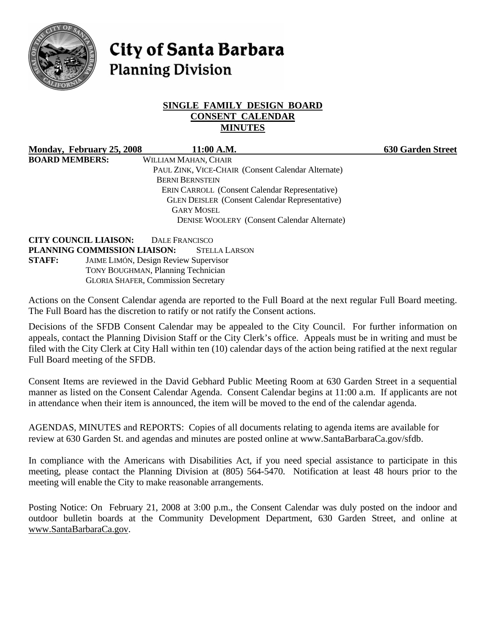

# **City of Santa Barbara Planning Division**

#### **SINGLE FAMILY DESIGN BOARD CONSENT CALENDAR MINUTES**

**Monday, February 25, 2008 11:00 A.M. 630 Garden Street BOARD MEMBERS:** WILLIAM MAHAN, CHAIR PAUL ZINK, VICE-CHAIR (Consent Calendar Alternate) BERNI BERNSTEIN ERIN CARROLL (Consent Calendar Representative) GLEN DEISLER (Consent Calendar Representative) GARY MOSEL DENISE WOOLERY (Consent Calendar Alternate)

**CITY COUNCIL LIAISON:** DALE FRANCISCO **PLANNING COMMISSION LIAISON:** STELLA LARSON **STAFF:** JAIME LIMÓN, Design Review Supervisor TONY BOUGHMAN, Planning Technician GLORIA SHAFER, Commission Secretary

Actions on the Consent Calendar agenda are reported to the Full Board at the next regular Full Board meeting. The Full Board has the discretion to ratify or not ratify the Consent actions.

Decisions of the SFDB Consent Calendar may be appealed to the City Council. For further information on appeals, contact the Planning Division Staff or the City Clerk's office. Appeals must be in writing and must be filed with the City Clerk at City Hall within ten (10) calendar days of the action being ratified at the next regular Full Board meeting of the SFDB.

Consent Items are reviewed in the David Gebhard Public Meeting Room at 630 Garden Street in a sequential manner as listed on the Consent Calendar Agenda. Consent Calendar begins at 11:00 a.m. If applicants are not in attendance when their item is announced, the item will be moved to the end of the calendar agenda.

AGENDAS, MINUTES and REPORTS: Copies of all documents relating to agenda items are available for review at 630 Garden St. and agendas and minutes are posted online at www.SantaBarbaraCa.gov/sfdb.

In compliance with the Americans with Disabilities Act, if you need special assistance to participate in this meeting, please contact the Planning Division at (805) 564-5470. Notification at least 48 hours prior to the meeting will enable the City to make reasonable arrangements.

Posting Notice: On February 21, 2008 at 3:00 p.m., the Consent Calendar was duly posted on the indoor and outdoor bulletin boards at the Community Development Department, 630 Garden Street, and online at www.SantaBarbaraCa.gov.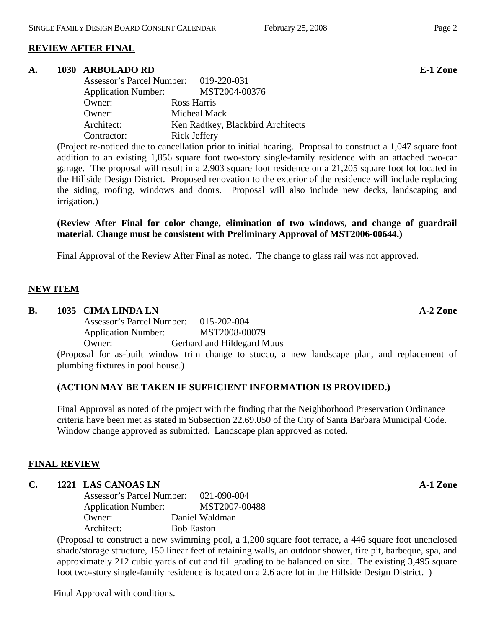## **REVIEW AFTER FINAL**

#### **A. 1030 ARBOLADO RD E-1 Zone**

| Assessor's Parcel Number: 019-220-031 |                                   |
|---------------------------------------|-----------------------------------|
| <b>Application Number:</b>            | MST2004-00376                     |
| Owner:                                | Ross Harris                       |
| Owner:                                | Micheal Mack                      |
| Architect:                            | Ken Radtkey, Blackbird Architects |
| Contractor:                           | Rick Jeffery                      |

(Project re-noticed due to cancellation prior to initial hearing. Proposal to construct a 1,047 square foot addition to an existing 1,856 square foot two-story single-family residence with an attached two-car garage. The proposal will result in a 2,903 square foot residence on a 21,205 square foot lot located in the Hillside Design District. Proposed renovation to the exterior of the residence will include replacing the siding, roofing, windows and doors. Proposal will also include new decks, landscaping and irrigation.)

**(Review After Final for color change, elimination of two windows, and change of guardrail material. Change must be consistent with Preliminary Approval of MST2006-00644.)** 

Final Approval of the Review After Final as noted. The change to glass rail was not approved.

#### **NEW ITEM**

#### **B.** 1035 CIMA LINDA LN **A-2** Zone

 Assessor's Parcel Number: 015-202-004 Application Number: MST2008-00079 Owner: Gerhard and Hildegard Muus

(Proposal for as-built window trim change to stucco, a new landscape plan, and replacement of plumbing fixtures in pool house.)

#### **(ACTION MAY BE TAKEN IF SUFFICIENT INFORMATION IS PROVIDED.)**

Final Approval as noted of the project with the finding that the Neighborhood Preservation Ordinance criteria have been met as stated in Subsection 22.69.050 of the City of Santa Barbara Municipal Code. Window change approved as submitted. Landscape plan approved as noted.

#### **FINAL REVIEW**

#### **C. 1221 LAS CANOAS LN A-1 Zone**

 Assessor's Parcel Number: 021-090-004 Application Number: MST2007-00488 Owner: Daniel Waldman Architect: Bob Easton

(Proposal to construct a new swimming pool, a 1,200 square foot terrace, a 446 square foot unenclosed shade/storage structure, 150 linear feet of retaining walls, an outdoor shower, fire pit, barbeque, spa, and approximately 212 cubic yards of cut and fill grading to be balanced on site. The existing 3,495 square foot two-story single-family residence is located on a 2.6 acre lot in the Hillside Design District. )

Final Approval with conditions.